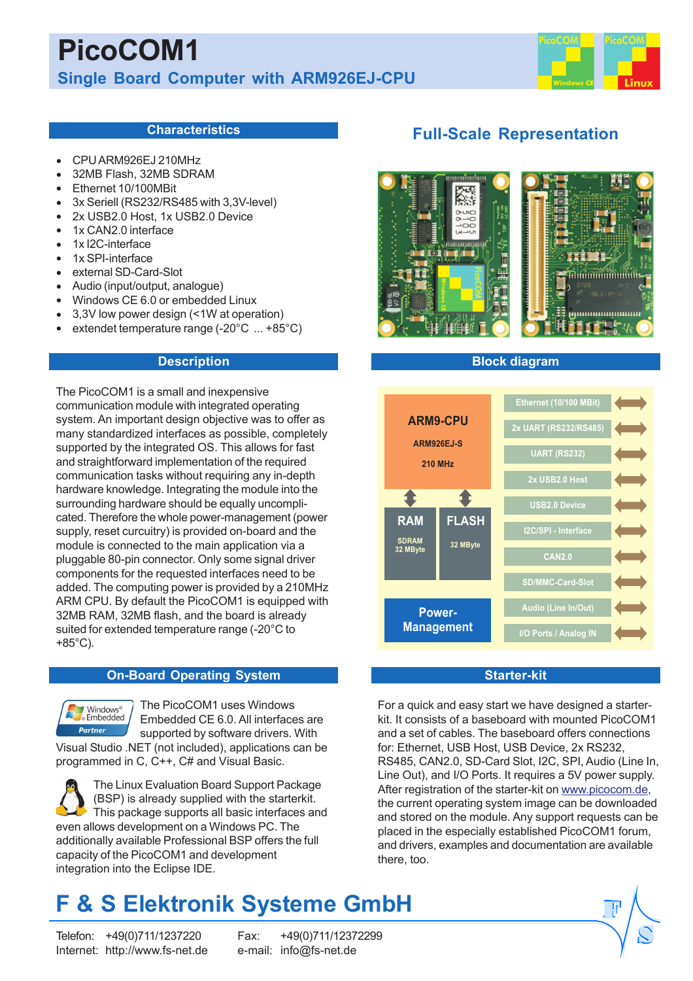

#### **Characteristics**

- CPU ARM926EJ 210MHz
- 32MB Flash, 32MB SDRAM
- Ethernet 10/100MBit
- 3x Seriell (RS232/RS485 with 3,3V-level)
- 2x USB2.0 Host, 1x USB2.0 Device
- 1x CAN2.0 interface
- 1x I2C-interface
- 1x SPI-interface
- external SD-Card-Slot
- Audio (input/output, analogue)
- Windows CE 6.0 or embedded Linux
- 3,3V low power design (<1W at operation)
- extendet temperature range (-20°C ... +85°C)

#### **Description**

The PicoCOM1 is a small and inexpensive communication module with integrated operating system. An important design objective was to offer as many standardized interfaces as possible, completely supported by the integrated OS. This allows for fast and straightforward implementation of the required communication tasks without requiring any in-depth hardware knowledge. Integrating the module into the surrounding hardware should be equally uncomplicated. Therefore the whole power-management (power supply, reset curcuitry) is provided on-board and the module is connected to the main application via a pluggable 80-pin connector. Only some signal driver components for the requested interfaces need to be added. The computing power is provided by a 210MHz ARM CPU. By default the PicoCOM1 is equipped with 32MB RAM, 32MB flash, and the board is already suited for extended temperature range (-20°C to +85°C).

#### **On-Board Operating System <b>Starter-kit** Starter-kit



The PicoCOM1 uses Windows Embedded CE 6.0. All interfaces are supported by software drivers. With Visual Studio .NET (not included), applications can be

programmed in C, C++, C# and Visual Basic.

The Linux Evaluation Board Support Package (BSP) is already supplied with the starterkit. This package supports all basic interfaces and even allows development on a Windows PC. The additionally available Professional BSP offers the full capacity of the PicoCOM1 and development integration into the Eclipse IDE.

# **F & S Elektronik Systeme GmbH**

Internet: http://www.fs-net.de e-mail: info@fs-net.de

Telefon: +49(0)711/1237220 Fax: +49(0)711/12372299

### **Full-Scale Representation**



### **Block diagram**



For a quick and easy start we have designed a starterkit. It consists of a baseboard with mounted PicoCOM1 and a set of cables. The baseboard offers connections for: Ethernet, USB Host, USB Device, 2x RS232, RS485, CAN2.0, SD-Card Slot, I2C, SPI, Audio (Line In, Line Out), and I/O Ports. It requires a 5V power supply. After registration of the starter-kit on www.picocom.de, the current operating system image can be downloaded and stored on the module. Any support requests can be placed in the especially established PicoCOM1 forum, and drivers, examples and documentation are available there, too.